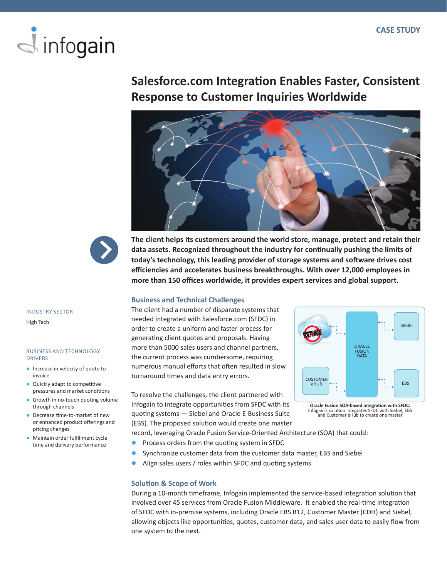# dinfogain

# **Salesforce.com Integration Enables Faster, Consistent Response to Customer Inquiries Worldwide**





### **The client helps its customers around the world store, manage, protect and retain their data assets. Recognized throughout the industry for continually pushing the limits of today's technology, this leading provider of storage systems and software drives cost efficiencies and accelerates business breakthroughs. With over 12,000 employees in more than 150 offices worldwide, it provides expert services and global support.**

#### **Business and Technical Challenges**

The client had a number of disparate systems that needed integrated with Salesforce.com (SFDC) in order to create a uniform and faster process for generating client quotes and proposals. Having more than 5000 sales users and channel partners, the current process was cumbersome, requiring numerous manual efforts that often resulted in slow turnaround times and data entry errors.

To resolve the challenges, the client partnered with Infogain to integrate opportunities from SFDC with its quoting systems ― Siebel and Oracle E-Business Suite (EBS). The proposed solution would create one master



**Oracle Fusion SOA-based integration with SFDC.**  Infogain's solution integrates SFDC with Siebel, EBS and Customer eHub to create one master

record, leveraging Oracle Fusion Service-Oriented Architecture (SOA) that could:

- Process orders from the quoting system in SFDC
- l Synchronize customer data from the customer data master, EBS and Siebel
- Align sales users / roles within SFDC and quoting systems

#### **Solution & Scope of Work**

During a 10-month timeframe, Infogain implemented the service-based integration solution that involved over 45 services from Oracle Fusion Middleware. It enabled the real-time integration of SFDC with in-premise systems, including Oracle EBS R12, Customer Master (CDH) and Siebel, allowing objects like opportunities, quotes, customer data, and sales user data to easily flow from one system to the next.

## INDUSTRY SECTOR

High Tech

#### BUSINESS AND TECHNOLOGY DRIVERS

- **.** Increase in velocity of quote to invoice
- Quickly adapt to competitive pressures and market conditions
- Growth in no-touch quoting volume through channels
- **•** Decrease time-to-market of new or enhanced product offerings and pricing changes
- **Maintain order fulfillment cycle** time and delivery performance